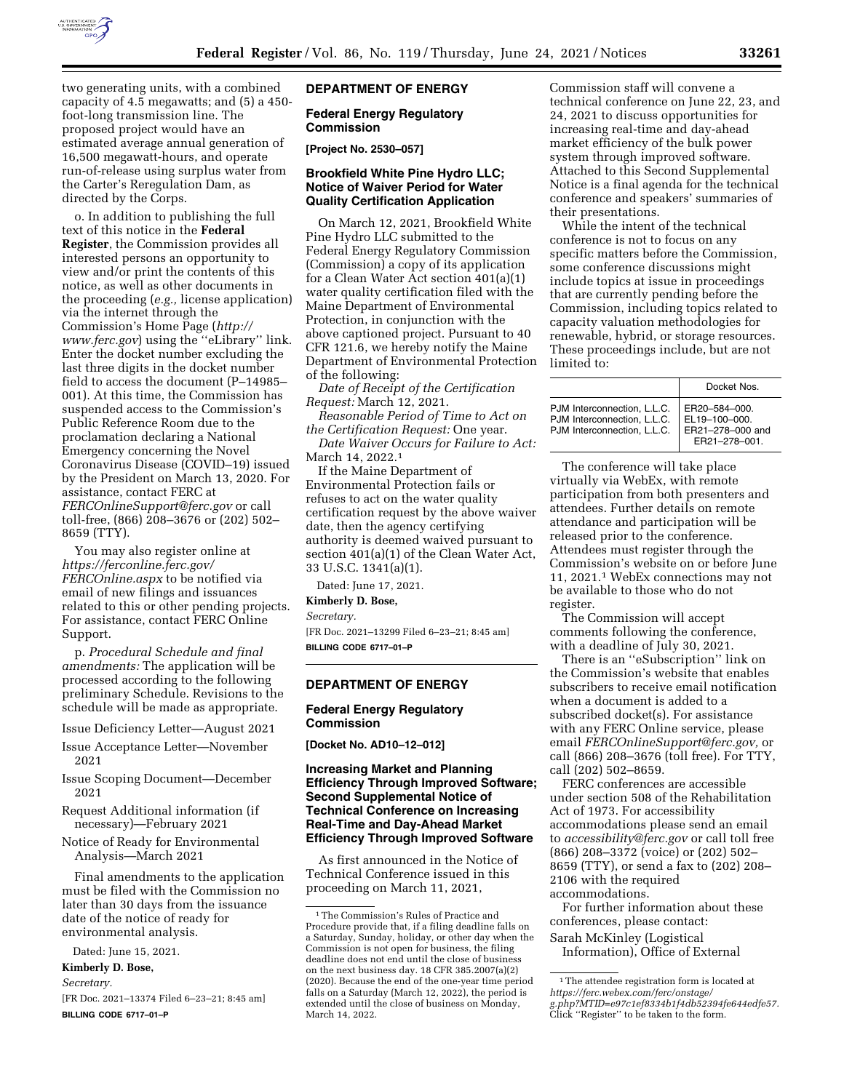

two generating units, with a combined capacity of 4.5 megawatts; and (5) a 450 foot-long transmission line. The proposed project would have an estimated average annual generation of 16,500 megawatt-hours, and operate run-of-release using surplus water from the Carter's Reregulation Dam, as directed by the Corps.

o. In addition to publishing the full text of this notice in the **Federal Register**, the Commission provides all interested persons an opportunity to view and/or print the contents of this notice, as well as other documents in the proceeding (*e.g.,* license application) via the internet through the Commission's Home Page (*[http://](http://www.ferc.gov) [www.ferc.gov](http://www.ferc.gov)*) using the ''eLibrary'' link. Enter the docket number excluding the last three digits in the docket number field to access the document (P–14985– 001). At this time, the Commission has suspended access to the Commission's Public Reference Room due to the proclamation declaring a National Emergency concerning the Novel Coronavirus Disease (COVID–19) issued by the President on March 13, 2020. For assistance, contact FERC at *[FERCOnlineSupport@ferc.gov](mailto:FERCOnlineSupport@ferc.gov)* or call toll-free, (866) 208–3676 or (202) 502– 8659 (TTY).

You may also register online at *[https://ferconline.ferc.gov/](https://ferconline.ferc.gov/FERCOnline.aspx) [FERCOnline.aspx](https://ferconline.ferc.gov/FERCOnline.aspx)* to be notified via email of new filings and issuances related to this or other pending projects. For assistance, contact FERC Online Support.

p. *Procedural Schedule and final amendments:* The application will be processed according to the following preliminary Schedule. Revisions to the schedule will be made as appropriate.

Issue Deficiency Letter—August 2021

- Issue Acceptance Letter—November 2021
- Issue Scoping Document—December 2021
- Request Additional information (if necessary)—February 2021
- Notice of Ready for Environmental Analysis—March 2021

Final amendments to the application must be filed with the Commission no later than 30 days from the issuance date of the notice of ready for environmental analysis.

Dated: June 15, 2021.

#### **Kimberly D. Bose,**

*Secretary.* 

[FR Doc. 2021–13374 Filed 6–23–21; 8:45 am] **BILLING CODE 6717–01–P** 

# **DEPARTMENT OF ENERGY**

#### **Federal Energy Regulatory Commission**

**[Project No. 2530–057]** 

# **Brookfield White Pine Hydro LLC; Notice of Waiver Period for Water Quality Certification Application**

On March 12, 2021, Brookfield White Pine Hydro LLC submitted to the Federal Energy Regulatory Commission (Commission) a copy of its application for a Clean Water Act section 401(a)(1) water quality certification filed with the Maine Department of Environmental Protection, in conjunction with the above captioned project. Pursuant to 40 CFR 121.6, we hereby notify the Maine Department of Environmental Protection of the following:

*Date of Receipt of the Certification Request:* March 12, 2021.

*Reasonable Period of Time to Act on the Certification Request:* One year.

*Date Waiver Occurs for Failure to Act:*  March 14, 2022.<sup>1</sup>

If the Maine Department of Environmental Protection fails or refuses to act on the water quality certification request by the above waiver date, then the agency certifying authority is deemed waived pursuant to section 401(a)(1) of the Clean Water Act, 33 U.S.C. 1341(a)(1).

Dated: June 17, 2021.

#### **Kimberly D. Bose,**

*Secretary.* 

[FR Doc. 2021–13299 Filed 6–23–21; 8:45 am] **BILLING CODE 6717–01–P** 

#### **DEPARTMENT OF ENERGY**

## **Federal Energy Regulatory Commission**

**[Docket No. AD10–12–012]** 

## **Increasing Market and Planning Efficiency Through Improved Software; Second Supplemental Notice of Technical Conference on Increasing Real-Time and Day-Ahead Market Efficiency Through Improved Software**

As first announced in the Notice of Technical Conference issued in this proceeding on March 11, 2021,

Commission staff will convene a technical conference on June 22, 23, and 24, 2021 to discuss opportunities for increasing real-time and day-ahead market efficiency of the bulk power system through improved software. Attached to this Second Supplemental Notice is a final agenda for the technical conference and speakers' summaries of their presentations.

While the intent of the technical conference is not to focus on any specific matters before the Commission, some conference discussions might include topics at issue in proceedings that are currently pending before the Commission, including topics related to capacity valuation methodologies for renewable, hybrid, or storage resources. These proceedings include, but are not limited to:

|                                                                                           | Docket Nos.                                                         |
|-------------------------------------------------------------------------------------------|---------------------------------------------------------------------|
| PJM Interconnection, L.L.C.<br>PJM Interconnection, L.L.C.<br>PJM Interconnection, L.L.C. | ER20-584-000.<br>EL19-100-000.<br>ER21-278-000 and<br>ER21-278-001. |

The conference will take place virtually via WebEx, with remote participation from both presenters and attendees. Further details on remote attendance and participation will be released prior to the conference. Attendees must register through the Commission's website on or before June 11, 2021.1 WebEx connections may not be available to those who do not register.

The Commission will accept comments following the conference, with a deadline of July 30, 2021.

There is an ''eSubscription'' link on the Commission's website that enables subscribers to receive email notification when a document is added to a subscribed docket(s). For assistance with any FERC Online service, please email *[FERCOnlineSupport@ferc.gov,](mailto:FERCOnlineSupport@ferc.gov)* or call (866) 208–3676 (toll free). For TTY, call (202) 502–8659.

FERC conferences are accessible under section 508 of the Rehabilitation Act of 1973. For accessibility accommodations please send an email to *[accessibility@ferc.gov](mailto:accessibility@ferc.gov)* or call toll free (866) 208–3372 (voice) or (202) 502– 8659 (TTY), or send a fax to (202) 208– 2106 with the required accommodations.

For further information about these conferences, please contact:

Sarah McKinley (Logistical Information), Office of External

<sup>1</sup>The Commission's Rules of Practice and Procedure provide that, if a filing deadline falls on a Saturday, Sunday, holiday, or other day when the Commission is not open for business, the filing deadline does not end until the close of business on the next business day. 18 CFR 385.2007(a)(2) (2020). Because the end of the one-year time period falls on a Saturday (March 12, 2022), the period is extended until the close of business on Monday, March 14, 2022.

<sup>1</sup>The attendee registration form is located at *[https://ferc.webex.com/ferc/onstage/](https://ferc.webex.com/ferc/onstage/g.php?MTID=e97c1ef8334b1f4db52394fe644edfe57) [g.php?MTID=e97c1ef8334b1f4db52394fe644edfe57.](https://ferc.webex.com/ferc/onstage/g.php?MTID=e97c1ef8334b1f4db52394fe644edfe57)*  Click "Register" to be taken to the form.